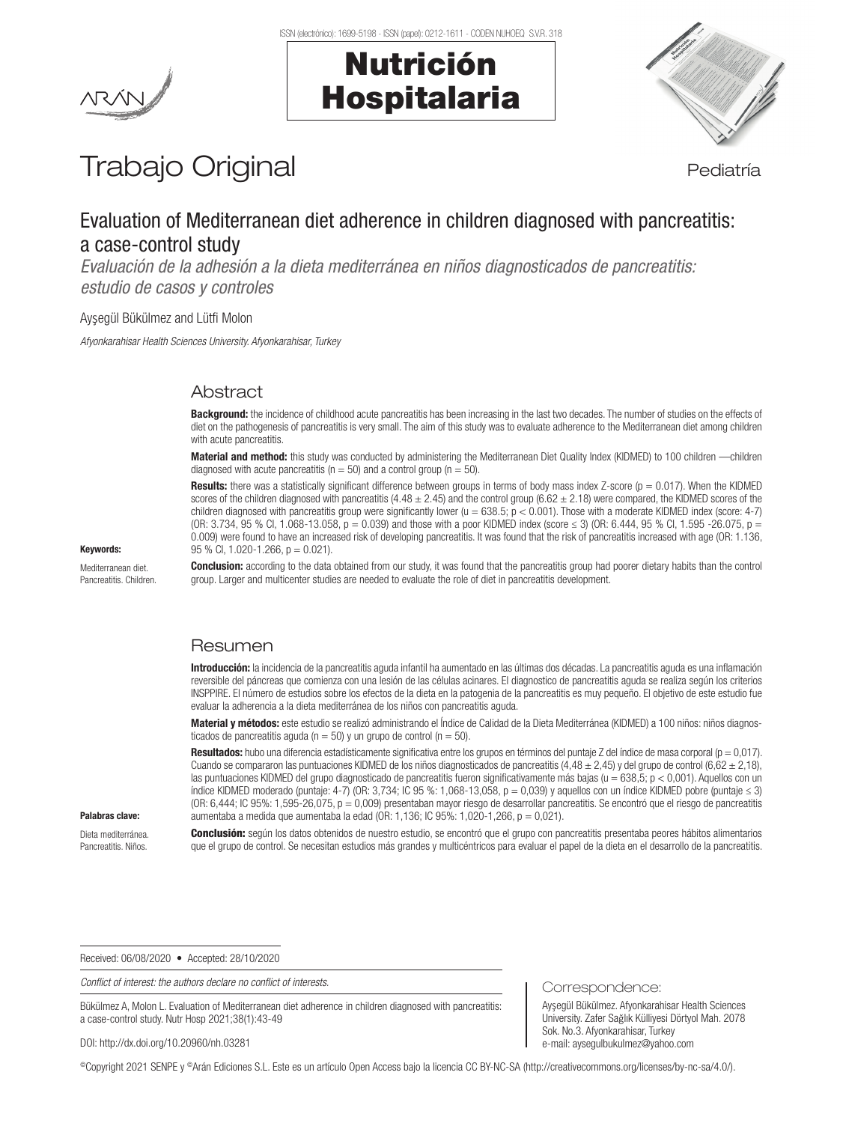Nutrición

Hospitalaria



# Trabajo Original en el estatubación de la pediatría

# Evaluation of Mediterranean diet adherence in children diagnosed with pancreatitis: a case-control study

*Evaluación de la adhesión a la dieta mediterránea en niños diagnosticados de pancreatitis: estudio de casos y controles*

Ay�egül Bükülmez and Lütfi Molon

*Afyonkarahisar Health Sciences University. Afyonkarahisar, Turkey*

## Abstract

Background: the incidence of childhood acute pancreatitis has been increasing in the last two decades. The number of studies on the effects of diet on the pathogenesis of pancreatitis is very small. The aim of this study was to evaluate adherence to the Mediterranean diet among children with acute pancreatitis.

Material and method: this study was conducted by administering the Mediterranean Diet Quality Index (KIDMED) to 100 children - children diagnosed with acute pancreatitis ( $n = 50$ ) and a control group ( $n = 50$ ).

Results: there was a statistically significant difference between groups in terms of body mass index Z-score ( $p = 0.017$ ). When the KIDMED scores of the children diagnosed with pancreatitis (4.48  $\pm$  2.45) and the control group (6.62  $\pm$  2.18) were compared, the KIDMED scores of the children diagnosed with pancreatitis group were significantly lower ( $u = 638.5$ ;  $p < 0.001$ ). Those with a moderate KIDMED index (score: 4-7) (OR: 3.734, 95 % Cl, 1.068-13.058, p = 0.039) and those with a poor KIDMED index (score ≤ 3) (OR: 6.444, 95 % Cl, 1.595 -26.075, p = 0.009) were found to have an increased risk of developing pancreatitis. It was found that the risk of pancreatitis increased with age (OR: 1.136,  $95 \%$  Cl, 1.020-1.266, p = 0.021).

Conclusion: according to the data obtained from our study, it was found that the pancreatitis group had poorer dietary habits than the control group. Larger and multicenter studies are needed to evaluate the role of diet in pancreatitis development.

### Resumen

Introducción: la incidencia de la pancreatitis aguda infantil ha aumentado en las últimas dos décadas. La pancreatitis aguda es una inflamación reversible del páncreas que comienza con una lesión de las células acinares. El diagnostico de pancreatitis aguda se realiza según los criterios INSPPIRE. El número de estudios sobre los efectos de la dieta en la patogenia de la pancreatitis es muy pequeño. El objetivo de este estudio fue evaluar la adherencia a la dieta mediterránea de los niños con pancreatitis aguda.

Material y métodos: este estudio se realizó administrando el Índice de Calidad de la Dieta Mediterránea (KIDMED) a 100 niños: niños diagnosticados de pancreatitis aguda ( $n = 50$ ) y un grupo de control ( $n = 50$ ).

Resultados: hubo una diferencia estadísticamente significativa entre los grupos en términos del puntaje Z del índice de masa corporal ( $p = 0.017$ ). Cuando se compararon las puntuaciones KIDMED de los niños diagnosticados de pancreatitis (4,48 ± 2,45) y del grupo de control (6,62 ± 2,18), las puntuaciones KIDMED del grupo diagnosticado de pancreatitis fueron significativamente más bajas ( $u = 638,5$ ;  $p < 0,001$ ). Aquellos con un índice KIDMED moderado (puntaje: 4-7) (OR: 3,734; IC 95 %: 1,068-13,058, p = 0,039) y aquellos con un índice KIDMED pobre (puntaje ≤ 3) (OR: 6,444; IC 95%: 1,595-26,075, p = 0,009) presentaban mayor riesgo de desarrollar pancreatitis. Se encontró que el riesgo de pancreatitis aumentaba a medida que aumentaba la edad (OR: 1,136; IC 95%: 1,020-1,266, p = 0,021).

#### Palabras clave:

Keywords: Mediterranean diet. Pancreatitis. Children.

Dieta mediterránea. Pancreatitis. Niños.

Conclusión: según los datos obtenidos de nuestro estudio, se encontró que el grupo con pancreatitis presentaba peores hábitos alimentarios que el grupo de control. Se necesitan estudios más grandes y multicéntricos para evaluar el papel de la dieta en el desarrollo de la pancreatitis.

Correspondence:

Sok. No.3. Afyonkarahisar, Turkey e-mail: aysegulbukulmez@yahoo.com

Ay�egül Bükülmez. Afyonkarahisar Health Sciences University. Zafer Sağlık Külliyesi Dörtyol Mah. 2078

Received: 06/08/2020 • Accepted: 28/10/2020

*Conflict of interest: the authors declare no conflict of interests.*

Bükülmez A, Molon L. Evaluation of Mediterranean diet adherence in children diagnosed with pancreatitis: a case-control study. Nutr Hosp 2021;38(1):43-49

DOI: http://dx.doi.org/10.20960/nh.03281

©Copyright 2021 SENPE y ©Arán Ediciones S.L. Este es un artículo Open Access bajo la licencia CC BY-NC-SA (http://creativecommons.org/licenses/by-nc-sa/4.0/).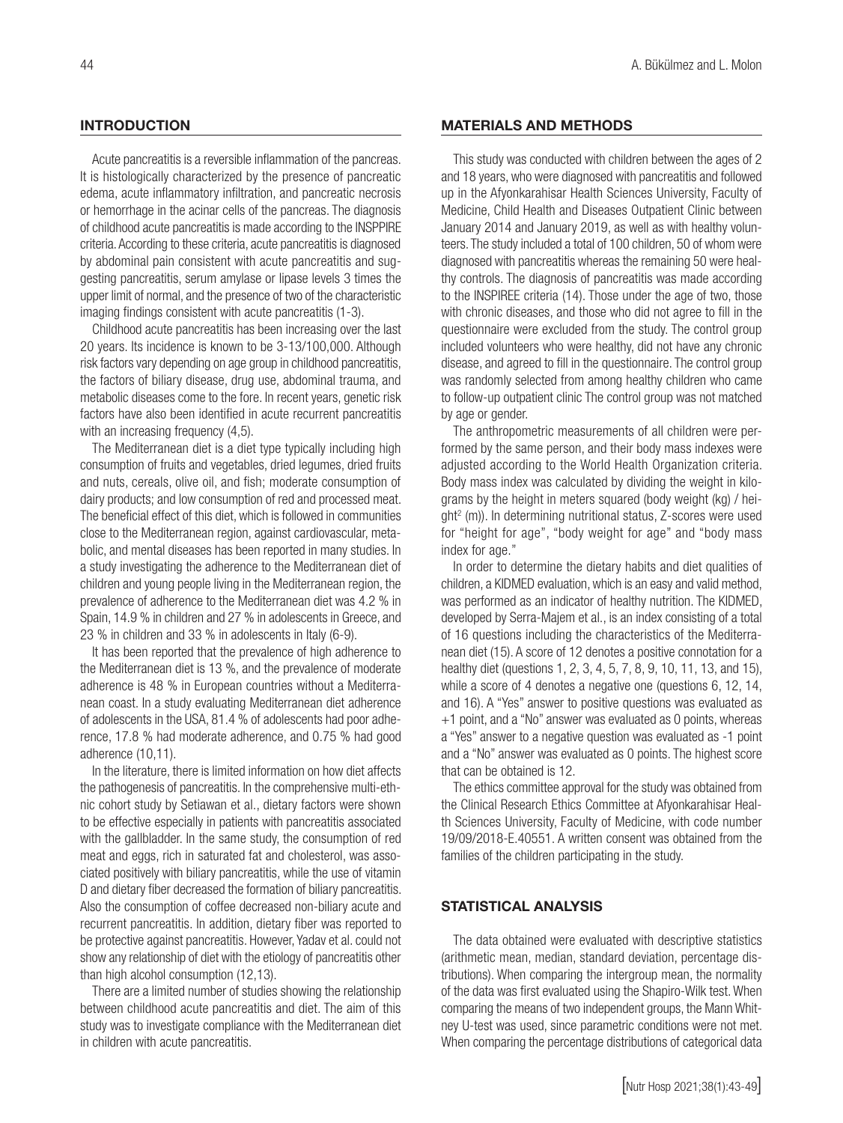#### **INTRODUCTION**

Acute pancreatitis is a reversible inflammation of the pancreas. It is histologically characterized by the presence of pancreatic edema, acute inflammatory infiltration, and pancreatic necrosis or hemorrhage in the acinar cells of the pancreas. The diagnosis of childhood acute pancreatitis is made according to the INSPPIRE criteria. According to these criteria, acute pancreatitis is diagnosed by abdominal pain consistent with acute pancreatitis and suggesting pancreatitis, serum amylase or lipase levels 3 times the upper limit of normal, and the presence of two of the characteristic imaging findings consistent with acute pancreatitis (1-3).

Childhood acute pancreatitis has been increasing over the last 20 years. Its incidence is known to be 3-13/100,000. Although risk factors vary depending on age group in childhood pancreatitis, the factors of biliary disease, drug use, abdominal trauma, and metabolic diseases come to the fore. In recent years, genetic risk factors have also been identified in acute recurrent pancreatitis with an increasing frequency  $(4,5)$ .

The Mediterranean diet is a diet type typically including high consumption of fruits and vegetables, dried legumes, dried fruits and nuts, cereals, olive oil, and fish; moderate consumption of dairy products; and low consumption of red and processed meat. The beneficial effect of this diet, which is followed in communities close to the Mediterranean region, against cardiovascular, metabolic, and mental diseases has been reported in many studies. In a study investigating the adherence to the Mediterranean diet of children and young people living in the Mediterranean region, the prevalence of adherence to the Mediterranean diet was 4.2 % in Spain, 14.9 % in children and 27 % in adolescents in Greece, and 23 % in children and 33 % in adolescents in Italy (6-9).

It has been reported that the prevalence of high adherence to the Mediterranean diet is 13 %, and the prevalence of moderate adherence is 48 % in European countries without a Mediterranean coast. In a study evaluating Mediterranean diet adherence of adolescents in the USA, 81.4 % of adolescents had poor adherence, 17.8 % had moderate adherence, and 0.75 % had good adherence (10,11).

In the literature, there is limited information on how diet affects the pathogenesis of pancreatitis. In the comprehensive multi-ethnic cohort study by Setiawan et al., dietary factors were shown to be effective especially in patients with pancreatitis associated with the gallbladder. In the same study, the consumption of red meat and eggs, rich in saturated fat and cholesterol, was associated positively with biliary pancreatitis, while the use of vitamin D and dietary fiber decreased the formation of biliary pancreatitis. Also the consumption of coffee decreased non-biliary acute and recurrent pancreatitis. In addition, dietary fiber was reported to be protective against pancreatitis. However, Yadav et al. could not show any relationship of diet with the etiology of pancreatitis other than high alcohol consumption (12,13).

There are a limited number of studies showing the relationship between childhood acute pancreatitis and diet. The aim of this study was to investigate compliance with the Mediterranean diet in children with acute pancreatitis.

#### MATERIALS AND METHODS

This study was conducted with children between the ages of 2 and 18 years, who were diagnosed with pancreatitis and followed up in the Afyonkarahisar Health Sciences University, Faculty of Medicine, Child Health and Diseases Outpatient Clinic between January 2014 and January 2019, as well as with healthy volunteers. The study included a total of 100 children, 50 of whom were diagnosed with pancreatitis whereas the remaining 50 were healthy controls. The diagnosis of pancreatitis was made according to the INSPIREE criteria (14). Those under the age of two, those with chronic diseases, and those who did not agree to fill in the questionnaire were excluded from the study. The control group included volunteers who were healthy, did not have any chronic disease, and agreed to fill in the questionnaire. The control group was randomly selected from among healthy children who came to follow-up outpatient clinic The control group was not matched by age or gender.

The anthropometric measurements of all children were performed by the same person, and their body mass indexes were adjusted according to the World Health Organization criteria. Body mass index was calculated by dividing the weight in kilograms by the height in meters squared (body weight (kg) / height2 (m)). In determining nutritional status, Z-scores were used for "height for age", "body weight for age" and "body mass index for age."

In order to determine the dietary habits and diet qualities of children, a KIDMED evaluation, which is an easy and valid method, was performed as an indicator of healthy nutrition. The KIDMED, developed by Serra-Majem et al., is an index consisting of a total of 16 questions including the characteristics of the Mediterranean diet (15). A score of 12 denotes a positive connotation for a healthy diet (questions 1, 2, 3, 4, 5, 7, 8, 9, 10, 11, 13, and 15), while a score of 4 denotes a negative one (questions 6, 12, 14, and 16). A "Yes" answer to positive questions was evaluated as +1 point, and a "No" answer was evaluated as 0 points, whereas a "Yes" answer to a negative question was evaluated as -1 point and a "No" answer was evaluated as 0 points. The highest score that can be obtained is 12.

The ethics committee approval for the study was obtained from the Clinical Research Ethics Committee at Afyonkarahisar Health Sciences University, Faculty of Medicine, with code number 19/09/2018-E.40551. A written consent was obtained from the families of the children participating in the study.

#### STATISTICAL ANALYSIS

The data obtained were evaluated with descriptive statistics (arithmetic mean, median, standard deviation, percentage distributions). When comparing the intergroup mean, the normality of the data was first evaluated using the Shapiro-Wilk test. When comparing the means of two independent groups, the Mann Whitney U-test was used, since parametric conditions were not met. When comparing the percentage distributions of categorical data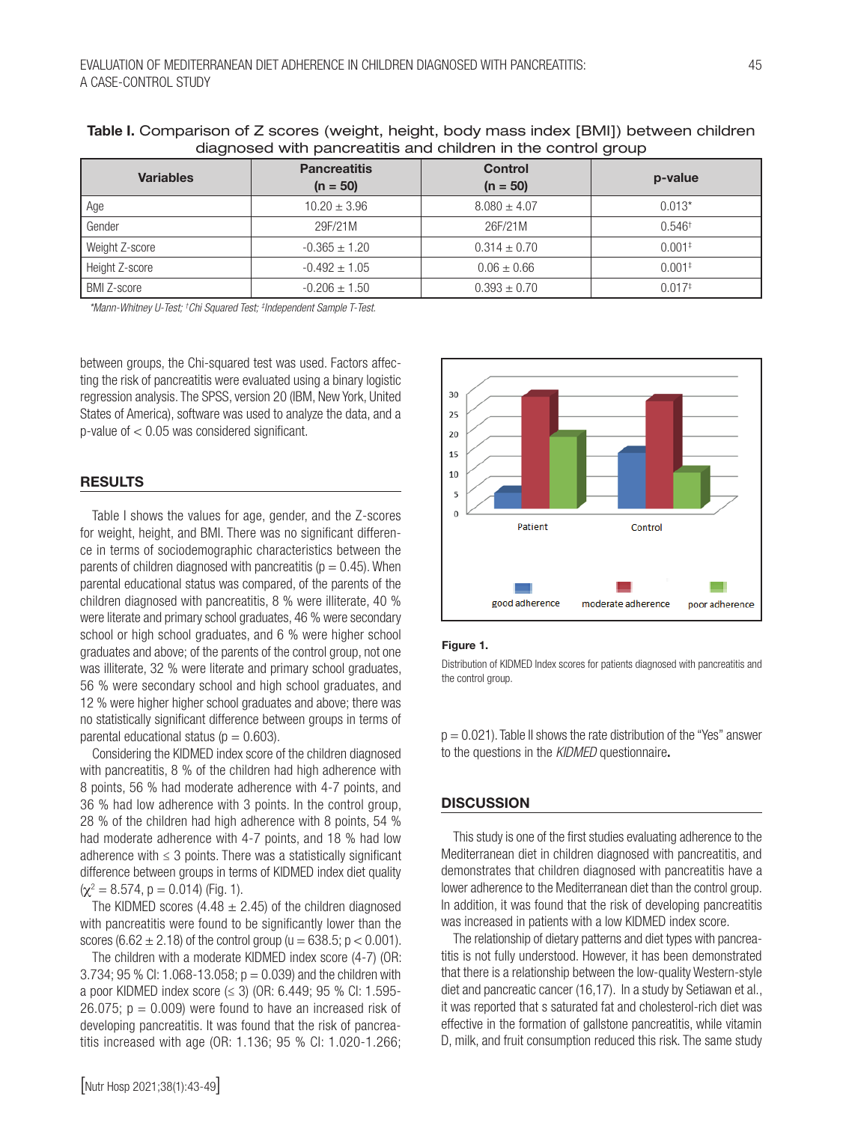| <b>Variables</b>   | <b>Pancreatitis</b><br>$(n = 50)$ | <b>Control</b><br>$(n = 50)$ | p-value           |  |  |
|--------------------|-----------------------------------|------------------------------|-------------------|--|--|
| Age                | $10.20 \pm 3.96$                  | $8.080 \pm 4.07$             | $0.013*$          |  |  |
| Gender             | 29F/21M                           | 26F/21M                      | $0.546^{\dagger}$ |  |  |
| Weight Z-score     | $-0.365 \pm 1.20$                 | $0.314 \pm 0.70$             | $0.001*$          |  |  |
| Height Z-score     | $-0.492 \pm 1.05$                 | $0.06 \pm 0.66$              | $0.001*$          |  |  |
| <b>BMI Z-score</b> | $-0.206 \pm 1.50$                 | $0.393 \pm 0.70$             | $0.017*$          |  |  |

Table I. Comparison of Z scores (weight, height, body mass index [BMI]) between children diagnosed with pancreatitis and children in the control group

 *\*Mann-Whitney U-Test; † Chi Squared Test; ‡ Independent Sample T-Test.*

between groups, the Chi-squared test was used. Factors affecting the risk of pancreatitis were evaluated using a binary logistic regression analysis. The SPSS, version 20 (IBM, New York, United States of America), software was used to analyze the data, and a p-value of < 0.05 was considered significant.

#### RESULTS

Table I shows the values for age, gender, and the Z-scores for weight, height, and BMI. There was no significant difference in terms of sociodemographic characteristics between the parents of children diagnosed with pancreatitis ( $p = 0.45$ ). When parental educational status was compared, of the parents of the children diagnosed with pancreatitis, 8 % were illiterate, 40 % were literate and primary school graduates, 46 % were secondary school or high school graduates, and 6 % were higher school graduates and above; of the parents of the control group, not one was illiterate, 32 % were literate and primary school graduates, 56 % were secondary school and high school graduates, and 12 % were higher higher school graduates and above; there was no statistically significant difference between groups in terms of parental educational status ( $p = 0.603$ ).

Considering the KIDMED index score of the children diagnosed with pancreatitis, 8 % of the children had high adherence with 8 points, 56 % had moderate adherence with 4-7 points, and 36 % had low adherence with 3 points. In the control group, 28 % of the children had high adherence with 8 points, 54 % had moderate adherence with 4-7 points, and 18 % had low adherence with  $\leq$  3 points. There was a statistically significant difference between groups in terms of KIDMED index diet quality  $(\chi^2 = 8.574, p = 0.014)$  (Fig. 1).

The KIDMED scores (4.48  $\pm$  2.45) of the children diagnosed with pancreatitis were found to be significantly lower than the scores (6.62  $\pm$  2.18) of the control group (u = 638.5; p < 0.001).

The children with a moderate KIDMED index score (4-7) (OR: 3.734; 95 % CI: 1.068-13.058;  $p = 0.039$ ) and the children with a poor KIDMED index score (≤ 3) (OR: 6.449; 95 % CI: 1.595- 26.075;  $p = 0.009$ ) were found to have an increased risk of developing pancreatitis. It was found that the risk of pancreatitis increased with age (OR: 1.136; 95 % CI: 1.020-1.266;



#### Figure 1.

Distribution of KIDMED Index scores for patients diagnosed with pancreatitis and the control group.

 $p = 0.021$ ). Table II shows the rate distribution of the "Yes" answer to the questions in the *KIDMED* questionnaire.

#### **DISCUSSION**

This study is one of the first studies evaluating adherence to the Mediterranean diet in children diagnosed with pancreatitis, and demonstrates that children diagnosed with pancreatitis have a lower adherence to the Mediterranean diet than the control group. In addition, it was found that the risk of developing pancreatitis was increased in patients with a low KIDMED index score.

The relationship of dietary patterns and diet types with pancreatitis is not fully understood. However, it has been demonstrated that there is a relationship between the low-quality Western-style diet and pancreatic cancer (16,17). In a study by Setiawan et al., it was reported that s saturated fat and cholesterol-rich diet was effective in the formation of gallstone pancreatitis, while vitamin D, milk, and fruit consumption reduced this risk. The same study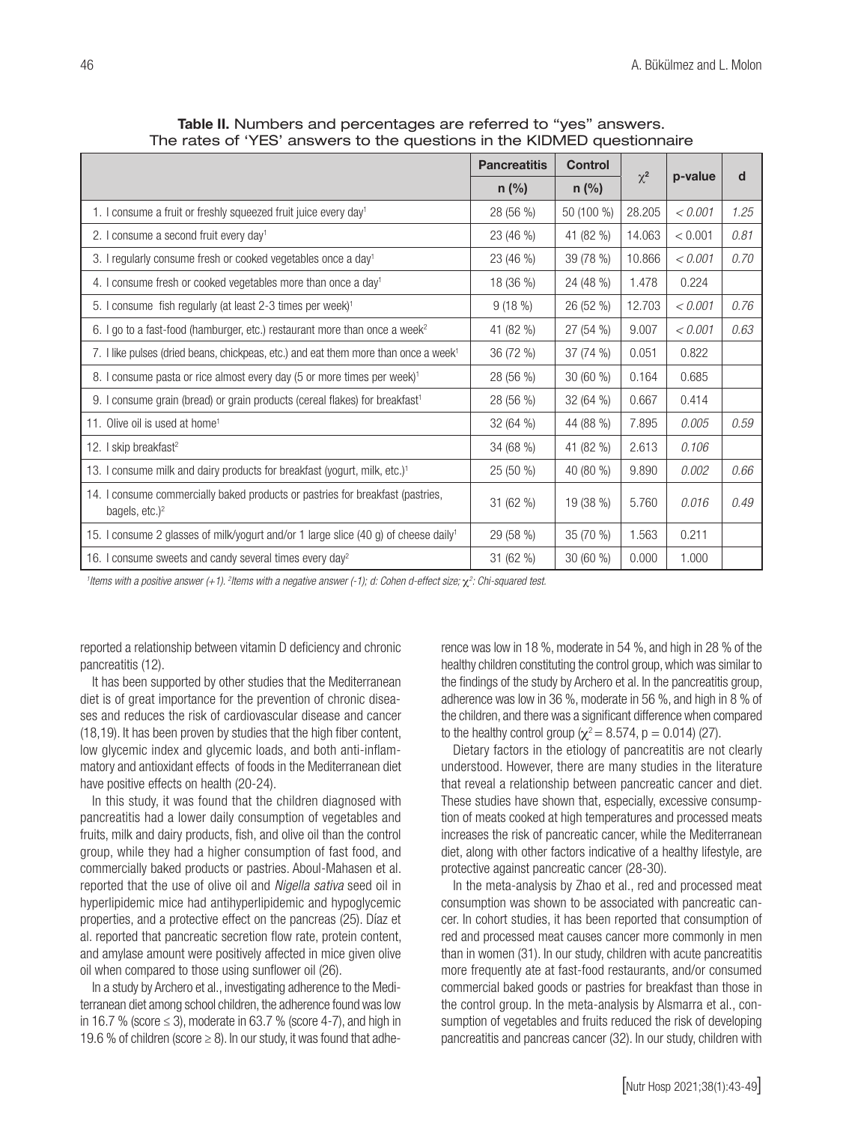|                                                                                                                 | <b>Pancreatitis</b> | <b>Control</b> | $\chi^2$ | p-value | d    |
|-----------------------------------------------------------------------------------------------------------------|---------------------|----------------|----------|---------|------|
|                                                                                                                 | $n$ (%)             | $n$ (%)        |          |         |      |
| 1. I consume a fruit or freshly squeezed fruit juice every day <sup>1</sup>                                     | 28 (56 %)           | 50 (100 %)     | 28.205   | < 0.001 | 1.25 |
| 2. I consume a second fruit every day <sup>1</sup>                                                              | 23 (46 %)           | 41 (82 %)      | 14.063   | < 0.001 | 0.81 |
| 3. I regularly consume fresh or cooked vegetables once a day <sup>1</sup>                                       | 23 (46 %)           | 39 (78 %)      | 10.866   | < 0.001 | 0.70 |
| 4. I consume fresh or cooked vegetables more than once a day <sup>1</sup>                                       | 18 (36 %)           | 24 (48 %)      | 1.478    | 0.224   |      |
| 5. I consume fish regularly (at least 2-3 times per week) <sup>1</sup>                                          | 9(18%)              | 26 (52 %)      | 12.703   | < 0.001 | 0.76 |
| 6. I go to a fast-food (hamburger, etc.) restaurant more than once a week <sup>2</sup>                          | 41 (82 %)           | 27 (54 %)      | 9.007    | < 0.001 | 0.63 |
| 7. I like pulses (dried beans, chickpeas, etc.) and eat them more than once a week <sup>1</sup>                 | 36 (72 %)           | 37 (74 %)      | 0.051    | 0.822   |      |
| 8. I consume pasta or rice almost every day (5 or more times per week) <sup>1</sup>                             | 28 (56 %)           | 30 (60 %)      | 0.164    | 0.685   |      |
| 9. I consume grain (bread) or grain products (cereal flakes) for breakfast <sup>1</sup>                         | 28 (56 %)           | 32 (64 %)      | 0.667    | 0.414   |      |
| 11. Olive oil is used at home <sup>1</sup>                                                                      | 32 (64 %)           | 44 (88 %)      | 7.895    | 0.005   | 0.59 |
| 12. I skip breakfast <sup>2</sup>                                                                               | 34 (68 %)           | 41 (82 %)      | 2.613    | 0.106   |      |
| 13. I consume milk and dairy products for breakfast (yogurt, milk, etc.) <sup>1</sup>                           | 25 (50 %)           | 40 (80 %)      | 9.890    | 0.002   | 0.66 |
| 14. I consume commercially baked products or pastries for breakfast (pastries,<br>bagels, $etc.$ ) <sup>2</sup> | 31 (62 %)           | 19 (38 %)      | 5.760    | 0.016   | 0.49 |
| 15. I consume 2 glasses of milk/yogurt and/or 1 large slice (40 g) of cheese daily <sup>1</sup>                 | 29 (58 %)           | 35 (70 %)      | 1.563    | 0.211   |      |
| 16. I consume sweets and candy several times every day <sup>2</sup>                                             | 31 (62 %)           | 30 (60 %)      | 0.000    | 1.000   |      |

Table II. Numbers and percentages are referred to "yes" answers. The rates of 'YES' answers to the questions in the KIDMED questionnaire

<sup>1</sup>ltems with a positive answer (+1). <sup>2</sup>Items with a negative answer (-1); d: Cohen d-effect size; χ<sup>2</sup>: Chi-squared test.

reported a relationship between vitamin D deficiency and chronic pancreatitis (12).

It has been supported by other studies that the Mediterranean diet is of great importance for the prevention of chronic diseases and reduces the risk of cardiovascular disease and cancer (18,19). It has been proven by studies that the high fiber content, low glycemic index and glycemic loads, and both anti-inflammatory and antioxidant effects of foods in the Mediterranean diet have positive effects on health (20-24).

In this study, it was found that the children diagnosed with pancreatitis had a lower daily consumption of vegetables and fruits, milk and dairy products, fish, and olive oil than the control group, while they had a higher consumption of fast food, and commercially baked products or pastries. Aboul-Mahasen et al. reported that the use of olive oil and *Nigella sativa* seed oil in hyperlipidemic mice had antihyperlipidemic and hypoglycemic properties, and a protective effect on the pancreas (25). Díaz et al. reported that pancreatic secretion flow rate, protein content, and amylase amount were positively affected in mice given olive oil when compared to those using sunflower oil (26).

In a study by Archero et al., investigating adherence to the Mediterranean diet among school children, the adherence found was low in 16.7 % (score  $\leq$  3), moderate in 63.7 % (score 4-7), and high in 19.6 % of children (score  $\geq$  8). In our study, it was found that adherence was low in 18 %, moderate in 54 %, and high in 28 % of the healthy children constituting the control group, which was similar to the findings of the study by Archero et al. In the pancreatitis group, adherence was low in 36 %, moderate in 56 %, and high in 8 % of the children, and there was a significant difference when compared to the healthy control group ( $\chi^2$  = 8.574, p = 0.014) (27).

Dietary factors in the etiology of pancreatitis are not clearly understood. However, there are many studies in the literature that reveal a relationship between pancreatic cancer and diet. These studies have shown that, especially, excessive consumption of meats cooked at high temperatures and processed meats increases the risk of pancreatic cancer, while the Mediterranean diet, along with other factors indicative of a healthy lifestyle, are protective against pancreatic cancer (28-30).

In the meta-analysis by Zhao et al., red and processed meat consumption was shown to be associated with pancreatic cancer. In cohort studies, it has been reported that consumption of red and processed meat causes cancer more commonly in men than in women (31). In our study, children with acute pancreatitis more frequently ate at fast-food restaurants, and/or consumed commercial baked goods or pastries for breakfast than those in the control group. In the meta-analysis by Alsmarra et al., consumption of vegetables and fruits reduced the risk of developing pancreatitis and pancreas cancer (32). In our study, children with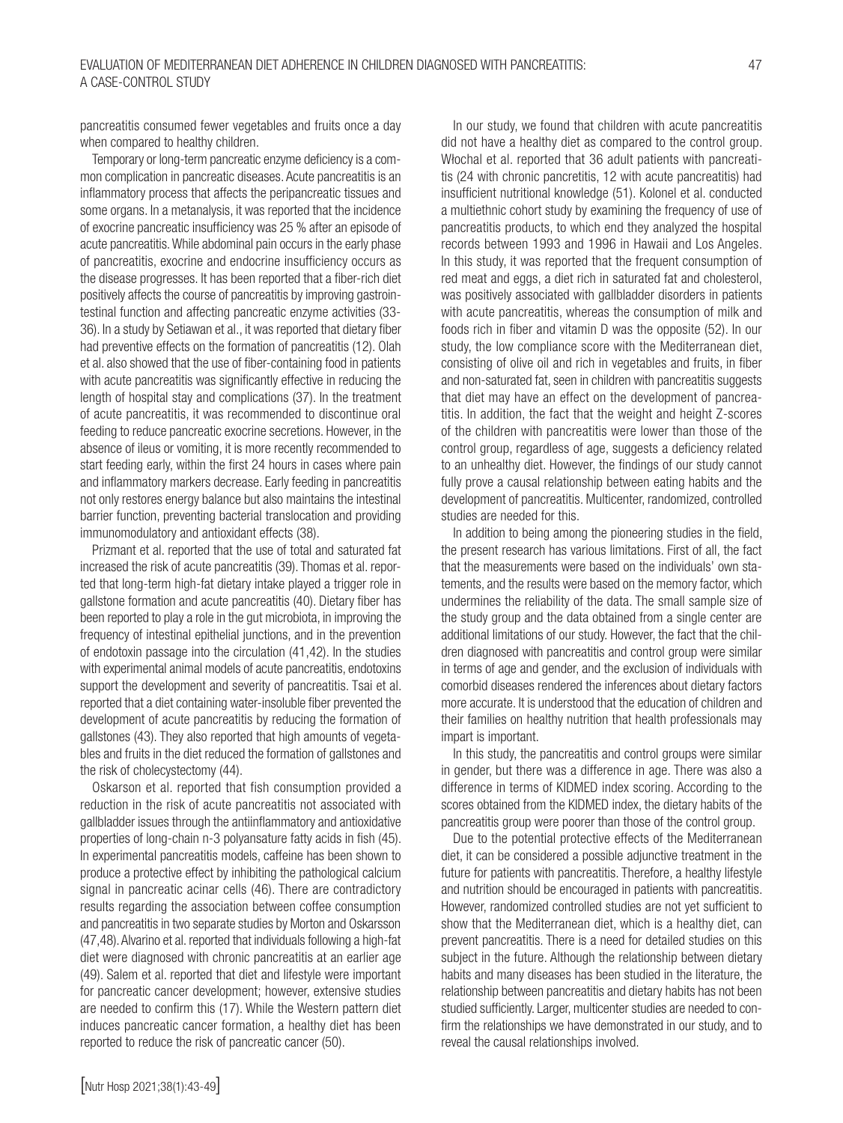pancreatitis consumed fewer vegetables and fruits once a day when compared to healthy children.

Temporary or long-term pancreatic enzyme deficiency is a common complication in pancreatic diseases. Acute pancreatitis is an inflammatory process that affects the peripancreatic tissues and some organs. In a metanalysis, it was reported that the incidence of exocrine pancreatic insufficiency was 25 % after an episode of acute pancreatitis. While abdominal pain occurs in the early phase of pancreatitis, exocrine and endocrine insufficiency occurs as the disease progresses. It has been reported that a fiber-rich diet positively affects the course of pancreatitis by improving gastrointestinal function and affecting pancreatic enzyme activities (33- 36). In a study by Setiawan et al., it was reported that dietary fiber had preventive effects on the formation of pancreatitis (12). Olah et al. also showed that the use of fiber-containing food in patients with acute pancreatitis was significantly effective in reducing the length of hospital stay and complications (37). In the treatment of acute pancreatitis, it was recommended to discontinue oral feeding to reduce pancreatic exocrine secretions. However, in the absence of ileus or vomiting, it is more recently recommended to start feeding early, within the first 24 hours in cases where pain and inflammatory markers decrease. Early feeding in pancreatitis not only restores energy balance but also maintains the intestinal barrier function, preventing bacterial translocation and providing immunomodulatory and antioxidant effects (38).

Prizmant et al. reported that the use of total and saturated fat increased the risk of acute pancreatitis (39). Thomas et al. reported that long-term high-fat dietary intake played a trigger role in gallstone formation and acute pancreatitis (40). Dietary fiber has been reported to play a role in the gut microbiota, in improving the frequency of intestinal epithelial junctions, and in the prevention of endotoxin passage into the circulation (41,42). In the studies with experimental animal models of acute pancreatitis, endotoxins support the development and severity of pancreatitis. Tsai et al. reported that a diet containing water-insoluble fiber prevented the development of acute pancreatitis by reducing the formation of gallstones (43). They also reported that high amounts of vegetables and fruits in the diet reduced the formation of gallstones and the risk of cholecystectomy (44).

Oskarson et al. reported that fish consumption provided a reduction in the risk of acute pancreatitis not associated with gallbladder issues through the antiinflammatory and antioxidative properties of long-chain n-3 polyansature fatty acids in fish (45). In experimental pancreatitis models, caffeine has been shown to produce a protective effect by inhibiting the pathological calcium signal in pancreatic acinar cells (46). There are contradictory results regarding the association between coffee consumption and pancreatitis in two separate studies by Morton and Oskarsson (47,48). Alvarino et al. reported that individuals following a high-fat diet were diagnosed with chronic pancreatitis at an earlier age (49). Salem et al. reported that diet and lifestyle were important for pancreatic cancer development; however, extensive studies are needed to confirm this (17). While the Western pattern diet induces pancreatic cancer formation, a healthy diet has been reported to reduce the risk of pancreatic cancer (50).

In our study, we found that children with acute pancreatitis did not have a healthy diet as compared to the control group. Włochal et al. reported that 36 adult patients with pancreatitis (24 with chronic pancretitis, 12 with acute pancreatitis) had insufficient nutritional knowledge (51). Kolonel et al. conducted a multiethnic cohort study by examining the frequency of use of pancreatitis products, to which end they analyzed the hospital records between 1993 and 1996 in Hawaii and Los Angeles. In this study, it was reported that the frequent consumption of red meat and eggs, a diet rich in saturated fat and cholesterol, was positively associated with gallbladder disorders in patients with acute pancreatitis, whereas the consumption of milk and foods rich in fiber and vitamin D was the opposite (52). In our study, the low compliance score with the Mediterranean diet, consisting of olive oil and rich in vegetables and fruits, in fiber and non-saturated fat, seen in children with pancreatitis suggests that diet may have an effect on the development of pancreatitis. In addition, the fact that the weight and height Z-scores of the children with pancreatitis were lower than those of the control group, regardless of age, suggests a deficiency related to an unhealthy diet. However, the findings of our study cannot fully prove a causal relationship between eating habits and the development of pancreatitis. Multicenter, randomized, controlled studies are needed for this.

In addition to being among the pioneering studies in the field, the present research has various limitations. First of all, the fact that the measurements were based on the individuals' own statements, and the results were based on the memory factor, which undermines the reliability of the data. The small sample size of the study group and the data obtained from a single center are additional limitations of our study. However, the fact that the children diagnosed with pancreatitis and control group were similar in terms of age and gender, and the exclusion of individuals with comorbid diseases rendered the inferences about dietary factors more accurate. It is understood that the education of children and their families on healthy nutrition that health professionals may impart is important.

In this study, the pancreatitis and control groups were similar in gender, but there was a difference in age. There was also a difference in terms of KIDMED index scoring. According to the scores obtained from the KIDMED index, the dietary habits of the pancreatitis group were poorer than those of the control group.

Due to the potential protective effects of the Mediterranean diet, it can be considered a possible adjunctive treatment in the future for patients with pancreatitis. Therefore, a healthy lifestyle and nutrition should be encouraged in patients with pancreatitis. However, randomized controlled studies are not yet sufficient to show that the Mediterranean diet, which is a healthy diet, can prevent pancreatitis. There is a need for detailed studies on this subject in the future. Although the relationship between dietary habits and many diseases has been studied in the literature, the relationship between pancreatitis and dietary habits has not been studied sufficiently. Larger, multicenter studies are needed to confirm the relationships we have demonstrated in our study, and to reveal the causal relationships involved.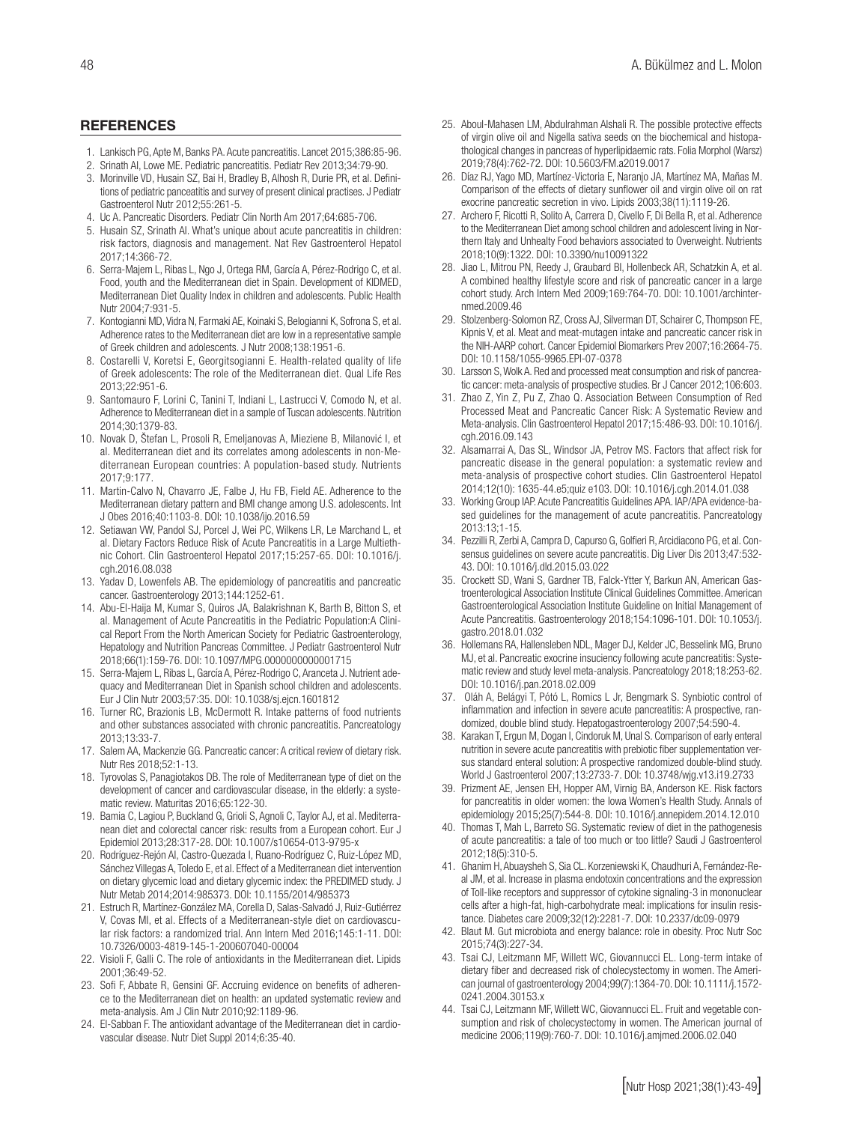#### **REFERENCES**

- 1. Lankisch PG, Apte M, Banks PA. Acute pancreatitis. Lancet 2015;386:85-96.
- 2. Srinath AI, Lowe ME. Pediatric pancreatitis. Pediatr Rev 2013;34:79-90.
- 3. Morinville VD, Husain SZ, Bai H, Bradley B, Alhosh R, Durie PR, et al. Definitions of pediatric panceatitis and survey of present clinical practises. J Pediatr Gastroenterol Nutr 2012;55:261-5.
- 4. Uc A. Pancreatic Disorders. Pediatr Clin North Am 2017;64:685-706.
- 5. Husain SZ, Srinath AI. What's unique about acute pancreatitis in children: risk factors, diagnosis and management. Nat Rev Gastroenterol Hepatol 2017;14:366-72.
- 6. Serra-Majem L, Ribas L, Ngo J, Ortega RM, García A, Pérez-Rodrigo C, et al. Food, youth and the Mediterranean diet in Spain. Development of KIDMED, Mediterranean Diet Quality Index in children and adolescents. Public Health Nutr 2004;7:931-5.
- 7. Kontogianni MD, Vidra N, Farmaki AE, Koinaki S, Belogianni K, Sofrona S, et al. Adherence rates to the Mediterranean diet are low in a representative sample of Greek children and adolescents. J Nutr 2008;138:1951-6.
- 8. Costarelli V, Koretsi E, Georgitsogianni E. Health-related quality of life of Greek adolescents: The role of the Mediterranean diet. Qual Life Res 2013;22:951-6.
- 9. Santomauro F, Lorini C, Tanini T, Indiani L, Lastrucci V, Comodo N, et al. Adherence to Mediterranean diet in a sample of Tuscan adolescents. Nutrition 2014;30:1379-83.
- 10. Novak D, Štefan L, Prosoli R, Emeljanovas A, Mieziene B, Milanović I, et al. Mediterranean diet and its correlates among adolescents in non-Mediterranean European countries: A population-based study. Nutrients 2017;9:177.
- 11. Martin-Calvo N, Chavarro JE, Falbe J, Hu FB, Field AE. Adherence to the Mediterranean dietary pattern and BMI change among U.S. adolescents. Int J Obes 2016;40:1103-8. DOI: 10.1038/ijo.2016.59
- 12. Setiawan VW, Pandol SJ, Porcel J, Wei PC, Wilkens LR, Le Marchand L, et al. Dietary Factors Reduce Risk of Acute Pancreatitis in a Large Multiethnic Cohort. Clin Gastroenterol Hepatol 2017;15:257-65. DOI: 10.1016/j. cgh.2016.08.038
- 13. Yadav D, Lowenfels AB. The epidemiology of pancreatitis and pancreatic cancer. Gastroenterology 2013;144:1252-61.
- 14. Abu-El-Haija M, Kumar S, Quiros JA, Balakrishnan K, Barth B, Bitton S, et al. Management of Acute Pancreatitis in the Pediatric Population:A Clinical Report From the North American Society for Pediatric Gastroenterology, Hepatology and Nutrition Pancreas Committee. J Pediatr Gastroenterol Nutr 2018;66(1):159-76. DOI: 10.1097/MPG.0000000000001715
- 15. Serra-Majem L, Ribas L, García A, Pérez-Rodrigo C, Aranceta J. Nutrient adequacy and Mediterranean Diet in Spanish school children and adolescents. Eur J Clin Nutr 2003;57:35. DOI: 10.1038/sj.ejcn.1601812
- 16. Turner RC, Brazionis LB, McDermott R. Intake patterns of food nutrients and other substances associated with chronic pancreatitis. Pancreatology 2013;13:33-7.
- 17. Salem AA, Mackenzie GG. Pancreatic cancer: A critical review of dietary risk. Nutr Res 2018;52:1-13.
- 18. Tyrovolas S, Panagiotakos DB. The role of Mediterranean type of diet on the development of cancer and cardiovascular disease, in the elderly: a systematic review. Maturitas 2016;65:122-30.
- 19. Bamia C, Lagiou P, Buckland G, Grioli S, Agnoli C, Taylor AJ, et al. Mediterranean diet and colorectal cancer risk: results from a European cohort. Eur J Epidemiol 2013;28:317-28. DOI: 10.1007/s10654-013-9795-x
- 20. Rodríguez-Rejón AI, Castro-Quezada I, Ruano-Rodríguez C, Ruiz-López MD, Sánchez Villegas A, Toledo E, et al. Effect of a Mediterranean diet intervention on dietary glycemic load and dietary glycemic index: the PREDIMED study. J Nutr Metab 2014;2014:985373. DOI: 10.1155/2014/985373
- 21. Estruch R, Martínez-González MA, Corella D, Salas-Salvadó J, Ruiz-Gutiérrez V, Covas MI, et al. Effects of a Mediterranean-style diet on cardiovascular risk factors: a randomized trial. Ann Intern Med 2016;145:1-11. DOI: 10.7326/0003-4819-145-1-200607040-00004
- 22. Visioli F, Galli C. The role of antioxidants in the Mediterranean diet. Lipids 2001;36:49-52.
- 23. Sofi F, Abbate R, Gensini GF. Accruing evidence on benefits of adherence to the Mediterranean diet on health: an updated systematic review and meta-analysis. Am J Clin Nutr 2010;92:1189-96.
- 24. El-Sabban F. The antioxidant advantage of the Mediterranean diet in cardiovascular disease. Nutr Diet Suppl 2014;6:35-40.
- 25. Aboul-Mahasen LM, Abdulrahman Alshali R. The possible protective effects of virgin olive oil and Nigella sativa seeds on the biochemical and histopathological changes in pancreas of hyperlipidaemic rats. Folia Morphol (Warsz) 2019;78(4):762-72. DOI: 10.5603/FM.a2019.0017
- 26. Díaz RJ, Yago MD, Martínez-Victoria E, Naranjo JA, Martínez MA, Mañas M. Comparison of the effects of dietary sunflower oil and virgin olive oil on rat exocrine pancreatic secretion in vivo. Lipids 2003;38(11):1119-26.
- 27. Archero F, Ricotti R, Solito A, Carrera D, Civello F, Di Bella R, et al. Adherence to the Mediterranean Diet among school children and adolescent living in Northern Italy and Unhealty Food behaviors associated to Overweight. Nutrients 2018;10(9):1322. DOI: 10.3390/nu10091322
- 28. Jiao L, Mitrou PN, Reedy J, Graubard BI, Hollenbeck AR, Schatzkin A, et al. A combined healthy lifestyle score and risk of pancreatic cancer in a large cohort study. Arch Intern Med 2009;169:764-70. DOI: 10.1001/archinternmed.2009.46
- 29. Stolzenberg-Solomon RZ, Cross AJ, Silverman DT, Schairer C, Thompson FE, Kipnis V, et al. Meat and meat-mutagen intake and pancreatic cancer risk in the NIH-AARP cohort. Cancer Epidemiol Biomarkers Prev 2007;16:2664-75. DOI: 10.1158/1055-9965.EPI-07-0378
- 30. Larsson S, Wolk A. Red and processed meat consumption and risk of pancreatic cancer: meta-analysis of prospective studies. Br J Cancer 2012;106:603.
- 31. Zhao Z, Yin Z, Pu Z, Zhao Q. Association Between Consumption of Red Processed Meat and Pancreatic Cancer Risk: A Systematic Review and Meta-analysis. Clin Gastroenterol Hepatol 2017;15:486-93. DOI: 10.1016/j. cgh.2016.09.143
- 32. Alsamarrai A, Das SL, Windsor JA, Petrov MS. Factors that affect risk for pancreatic disease in the general population: a systematic review and meta-analysis of prospective cohort studies. Clin Gastroenterol Hepatol 2014;12(10): 1635-44.e5;quiz e103. DOI: 10.1016/j.cgh.2014.01.038
- 33. Working Group IAP. Acute Pancreatitis Guidelines APA. IAP/APA evidence-based guidelines for the management of acute pancreatitis. Pancreatology 2013:13;1-15.
- 34. Pezzilli R, Zerbi A, Campra D, Capurso G, Golfieri R, Arcidiacono PG, et al. Consensus guidelines on severe acute pancreatitis. Dig Liver Dis 2013;47:532- 43. DOI: 10.1016/j.dld.2015.03.022
- 35. Crockett SD, Wani S, Gardner TB, Falck-Ytter Y, Barkun AN, American Gastroenterological Association Institute Clinical Guidelines Committee. American Gastroenterological Association Institute Guideline on Initial Management of Acute Pancreatitis. Gastroenterology 2018;154:1096-101. DOI: 10.1053/j. gastro.2018.01.032
- 36. Hollemans RA, Hallensleben NDL, Mager DJ, Kelder JC, Besselink MG, Bruno MJ, et al. Pancreatic exocrine insuciency following acute pancreatitis: Systematic review and study level meta-analysis. Pancreatology 2018;18:253-62. DOI: 10.1016/j.pan.2018.02.009
- 37. Oláh A, Belágyi T, Pótó L, Romics L Jr, Bengmark S. Synbiotic control of inflammation and infection in severe acute pancreatitis: A prospective, randomized, double blind study. Hepatogastroenterology 2007;54:590-4.
- 38. Karakan T, Ergun M, Dogan I, Cindoruk M, Unal S. Comparison of early enteral nutrition in severe acute pancreatitis with prebiotic fiber supplementation versus standard enteral solution: A prospective randomized double-blind study. World J Gastroenterol 2007;13:2733-7. DOI: 10.3748/wjg.v13.i19.2733
- 39. Prizment AE, Jensen EH, Hopper AM, Virnig BA, Anderson KE. Risk factors for pancreatitis in older women: the Iowa Women's Health Study. Annals of epidemiology 2015;25(7):544-8. DOI: 10.1016/j.annepidem.2014.12.010
- 40. Thomas T, Mah L, Barreto SG. Systematic review of diet in the pathogenesis of acute pancreatitis: a tale of too much or too little? Saudi J Gastroenterol 2012;18(5):310-5.
- 41. Ghanim H, Abuaysheh S, Sia CL. Korzeniewski K, Chaudhuri A, Fernández-Real JM, et al. Increase in plasma endotoxin concentrations and the expression of Toll-like receptors and suppressor of cytokine signaling-3 in mononuclear cells after a high-fat, high-carbohydrate meal: implications for insulin resistance. Diabetes care 2009;32(12):2281-7. DOI: 10.2337/dc09-0979
- 42. Blaut M. Gut microbiota and energy balance: role in obesity. Proc Nutr Soc 2015;74(3):227-34.
- 43. Tsai CJ, Leitzmann MF, Willett WC, Giovannucci EL. Long-term intake of dietary fiber and decreased risk of cholecystectomy in women. The American journal of gastroenterology 2004;99(7):1364-70. DOI: 10.1111/j.1572- 0241.2004.30153.x
- 44. Tsai CJ, Leitzmann MF, Willett WC, Giovannucci EL. Fruit and vegetable consumption and risk of cholecystectomy in women. The American journal of medicine 2006;119(9):760-7. DOI: 10.1016/j.amjmed.2006.02.040